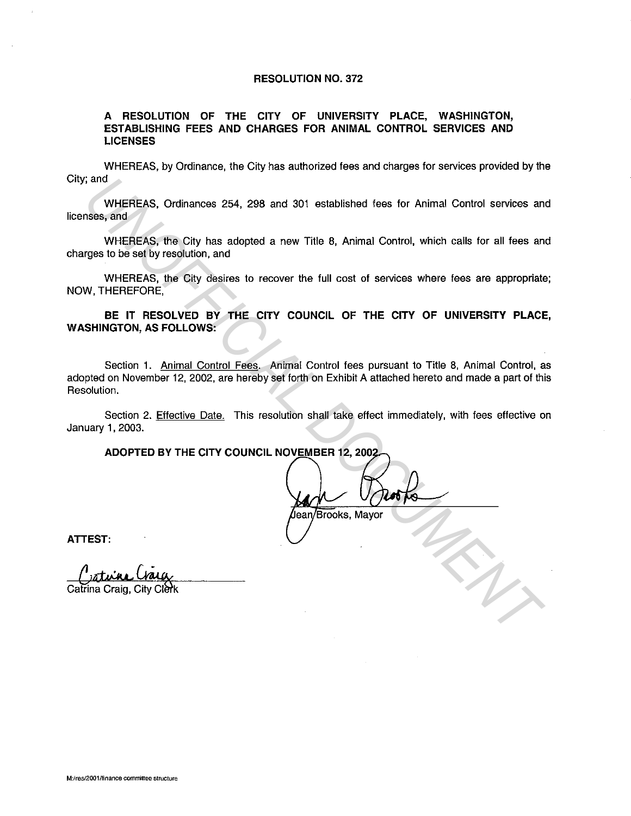## **RESOLUTION NO. 372**

## **A RESOLUTION OF THE CITY OF UNIVERSITY PLACE, WASHINGTON, ESTABLISHING FEES AND CHARGES FOR ANIMAL CONTROL SERVICES AND LICENSES**

WHEREAS, by Ordinance, the City has authorized fees and charges for services provided by the City; and

WHEREAS, Ordinances 254, 298 and 301 established fees for Animal Control services and licenses, and

WHEREAS, the City has adopted a new Title 8, Animal Control, which calls for all fees and charges to be set by resolution, and

WHEREAS, the City desires to recover the full cost of services where fees are appropriate; NOW, THEREFORE,

**BE IT RESOLVED BY THE CITY COUNCIL OF THE CITY OF UNIVERSITY PLACE, WASHINGTON, AS FOLLOWS:** 

Section 1. Animal Control Fees. Animal Control fees pursuant to Title 8, Animal Control, as adopted on November 12, 2002, are hereby set forth on Exhibit A attached hereto and made a part of this Resolution. **EXECUTE:**<br>
WHEREAS, Ordinances 254, 298 and 301 established fees for Animal Control services an<br>
WHEREAS, the City has adopted a new Title 8, Animal Control, which calls for all fees an<br>
WHEREAS, the City desires to recov

Section 2. Effective Date. This resolution shall take effect immediately, with fees effective on January 1, 2003.

**ADOPTED BY THE CITY COUNCIL NOVEMBER 12, 200** 

**ATTEST:**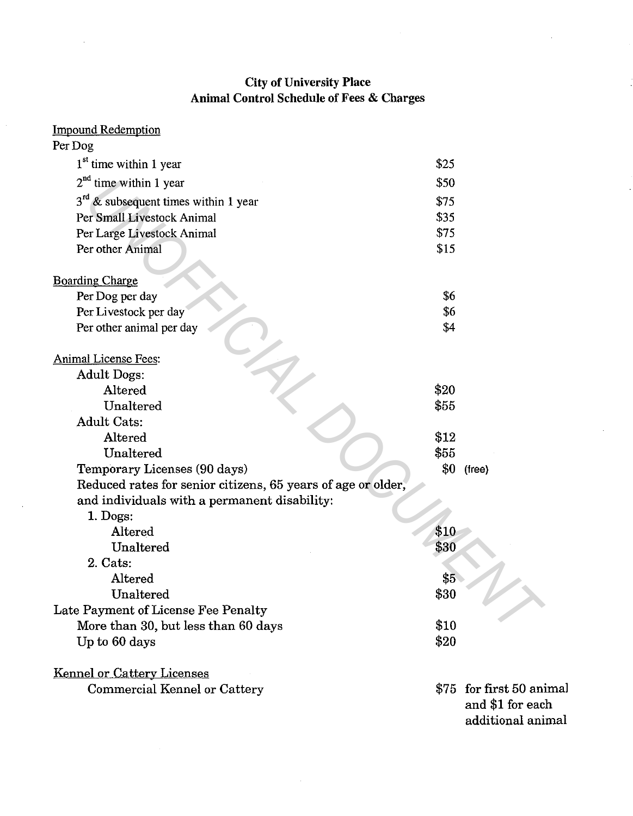## City of University Place Animal Control Schedule of Fees & Charges

 $\ddot{\phantom{a}}$ 

| <b>Impound Redemption</b>                                    |      |                                              |
|--------------------------------------------------------------|------|----------------------------------------------|
| Per Dog                                                      |      |                                              |
| 1 <sup>st</sup> time within 1 year                           | \$25 |                                              |
| $2nd$ time within 1 year                                     | \$50 |                                              |
| $3^{rd}$ & subsequent times within 1 year                    | \$75 |                                              |
| Per Small Livestock Animal                                   | \$35 |                                              |
| Per Large Livestock Animal                                   | \$75 |                                              |
| Per other Animal                                             | \$15 |                                              |
| <b>Boarding Charge</b>                                       |      |                                              |
| Per Dog per day                                              | \$6  |                                              |
| Per Livestock per day                                        | \$6  |                                              |
| Per other animal per day                                     | \$4  |                                              |
| <b>Animal License Fees:</b>                                  |      |                                              |
| Adult Dogs:                                                  |      |                                              |
| Altered                                                      | \$20 |                                              |
| Unaltered                                                    | \$55 |                                              |
| <b>Adult Cats:</b>                                           |      |                                              |
| Altered                                                      | \$12 |                                              |
| Unaltered                                                    | \$55 |                                              |
| Temporary Licenses (90 days)                                 | \$0  | (free)                                       |
| Reduced rates for senior citizens, 65 years of age or older, |      |                                              |
| and individuals with a permanent disability:                 |      |                                              |
| $1.$ Dogs:                                                   |      |                                              |
| Altered                                                      | \$10 |                                              |
| Unaltered                                                    | \$30 |                                              |
| 2. Cats:                                                     |      |                                              |
| Altered                                                      | \$5  |                                              |
| Unaltered                                                    | \$30 |                                              |
| Late Payment of License Fee Penalty                          |      |                                              |
| More than 30, but less than 60 days                          | \$10 |                                              |
| Up to 60 days                                                | \$20 |                                              |
| <b>Kennel or Cattery Licenses</b>                            |      |                                              |
| Commercial Kennel or Cattery                                 |      | \$75 for first 50 animal<br>and \$1 for each |

additional animal